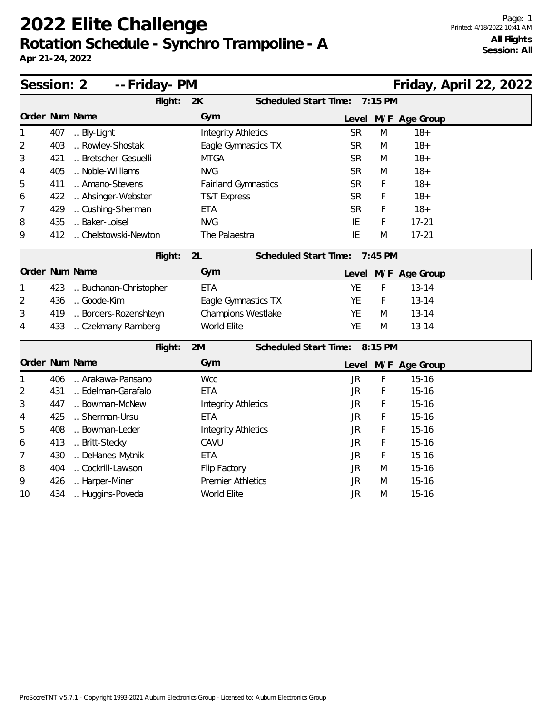## **2022 Elite Challenge Rotation Schedule - Synchro Trampoline - A**

**Apr 21-24, 2022**

| Session: 2     |     | -- Friday- PM        | Friday, April 22, 2022     |                                  |
|----------------|-----|----------------------|----------------------------|----------------------------------|
|                |     | Flight:              | 2K                         | 7:15 PM<br>Scheduled Start Time: |
| Order Num Name |     |                      | Gym                        | Level M/F Age Group              |
| 1              | 407 | Bly-Light            | <b>Integrity Athletics</b> | <b>SR</b><br>M<br>$18+$          |
| 2              | 403 | Rowley-Shostak       | Eagle Gymnastics TX        | <b>SR</b><br>$18 +$<br>M         |
| 3              | 421 | Bretscher-Gesuelli   | <b>MTGA</b>                | $18 +$<br><b>SR</b><br>M         |
| 4              | 405 | Noble-Williams       | <b>NVG</b>                 | <b>SR</b><br>$18 +$<br>M         |
| 5              | 411 | Amano-Stevens        | <b>Fairland Gymnastics</b> | <b>SR</b><br>F<br>$18 +$         |
| 6              | 422 | Ahsinger-Webster     | T&T Express                | <b>SR</b><br>F<br>$18+$          |
| 7              | 429 | Cushing-Sherman      | <b>ETA</b>                 | <b>SR</b><br>F<br>$18 +$         |
| 8              | 435 | Baker-Loisel         | <b>NVG</b>                 | IE<br>F<br>$17 - 21$             |
| 9              | 412 | Chelstowski-Newton   | The Palaestra              | IE<br>$17 - 21$<br>M             |
|                |     | Flight:              | 2L                         | Scheduled Start Time:<br>7:45 PM |
| Order Num Name |     |                      | Gym                        | Level M/F Age Group              |
| 1              | 423 | Buchanan-Christopher | <b>ETA</b>                 | <b>YE</b><br>F<br>$13 - 14$      |
| 2              | 436 | Goode-Kim            | Eagle Gymnastics TX        | YE<br>$13 - 14$<br>F             |
| 3              | 419 | Borders-Rozenshteyn  | Champions Westlake         | $13 - 14$<br><b>YE</b><br>M      |
| 4              | 433 | Czekmany-Ramberg     | World Elite                | <b>YE</b><br>$13 - 14$<br>M      |
|                |     | Flight:              | 2M                         | Scheduled Start Time:<br>8:15 PM |
| Order Num Name |     |                      | Gym                        | Level M/F Age Group              |
| 1              | 406 | Arakawa-Pansano      | <b>Wcc</b>                 | F<br><b>JR</b><br>$15 - 16$      |
| 2              | 431 | Edelman-Garafalo     | <b>ETA</b>                 | <b>JR</b><br>F<br>$15 - 16$      |
| 3              | 447 | Bowman-McNew         | <b>Integrity Athletics</b> | F<br>$15 - 16$<br>JR             |
| 4              | 425 | Sherman-Ursu         | <b>ETA</b>                 | F<br><b>JR</b><br>$15 - 16$      |
| 5              | 408 | Bowman-Leder         | <b>Integrity Athletics</b> | F<br>$15 - 16$<br>JR             |
| 6              | 413 | Britt-Stecky         | CAVU                       | F<br><b>JR</b><br>$15 - 16$      |
| 7              | 430 | DeHanes-Mytnik       | <b>ETA</b>                 | F<br>$15 - 16$<br>JR             |
| 8              | 404 | Cockrill-Lawson      | Flip Factory               | $15 - 16$<br>JR<br>M             |
| 9              | 426 | Harper-Miner         | <b>Premier Athletics</b>   | $15 - 16$<br><b>JR</b><br>M      |
| 10             | 434 | Huggins-Poveda       | World Elite                | <b>JR</b><br>$15 - 16$<br>M      |